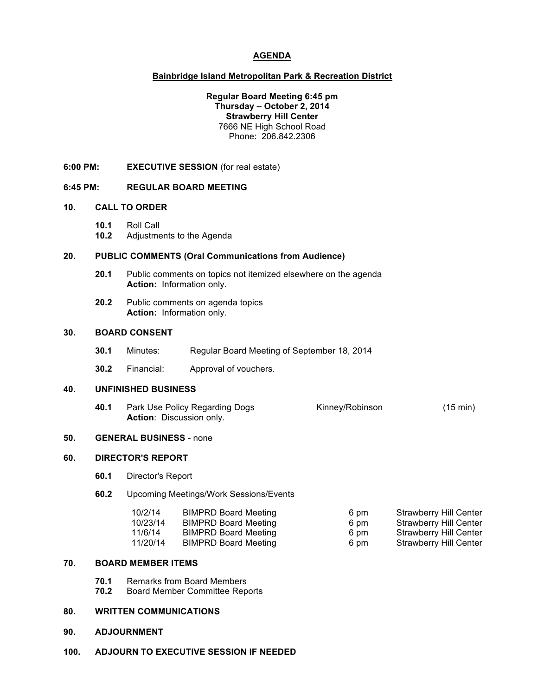# **AGENDA**

### **Bainbridge Island Metropolitan Park & Recreation District**

### **Regular Board Meeting 6:45 pm Thursday – October 2, 2014 Strawberry Hill Center** 7666 NE High School Road Phone: 206.842.2306

**6:00 PM: EXECUTIVE SESSION** (for real estate)

#### **6:45 PM: REGULAR BOARD MEETING**

### **10. CALL TO ORDER**

**10.1** Roll Call

**10.2** Adjustments to the Agenda

# **20. PUBLIC COMMENTS (Oral Communications from Audience)**

- **20.1** Public comments on topics not itemized elsewhere on the agenda **Action:** Information only.
- **20.2** Public comments on agenda topics **Action:** Information only.

#### **30. BOARD CONSENT**

- **30.1** Minutes: Regular Board Meeting of September 18, 2014
- **30.2** Financial: Approval of vouchers.

# **40. UNFINISHED BUSINESS**

**40.1** Park Use Policy Regarding Dogs Kinney/Robinson (15 min) **Action**: Discussion only.

# **50. GENERAL BUSINESS** - none

#### **60. DIRECTOR'S REPORT**

- **60.1** Director's Report
- **60.2** Upcoming Meetings/Work Sessions/Events

| 10/2/14  | BIMPRD Board Meeting        | 6 pm | Strawberry Hill Center |
|----------|-----------------------------|------|------------------------|
| 10/23/14 | BIMPRD Board Meeting        | 6 pm | Strawberry Hill Center |
| 11/6/14  | BIMPRD Board Meeting        | 6 pm | Strawberry Hill Center |
| 11/20/14 | <b>BIMPRD Board Meeting</b> | 6 pm | Strawberry Hill Center |

# **70. BOARD MEMBER ITEMS**

- **70.1** Remarks from Board Members
- **70.2** Board Member Committee Reports

### **80. WRITTEN COMMUNICATIONS**

#### **90. ADJOURNMENT**

**100. ADJOURN TO EXECUTIVE SESSION IF NEEDED**